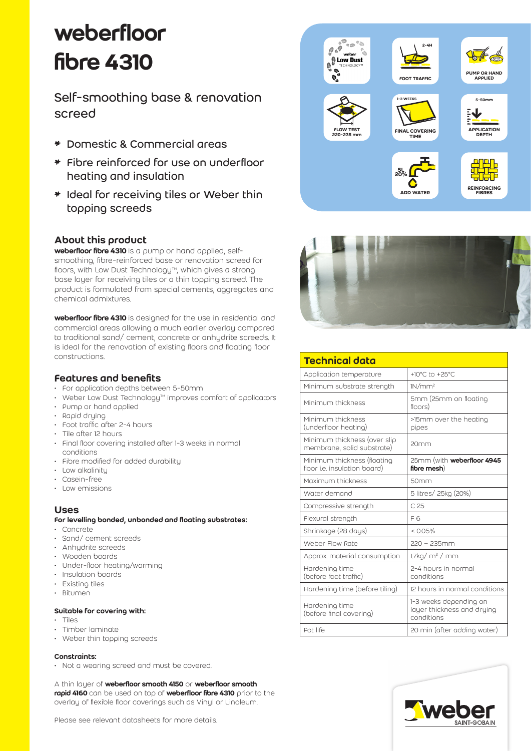# weberfloor fibre 4310

Self-smoothing base & renovation screed

- \* Domestic & Commercial areas
- \* Fibre reinforced for use on underfloor heating and insulation
- \* Ideal for receiving tiles or Weber thin topping screeds

# About this product

weberfloor fibre 4310 is a pump or hand applied, selfsmoothing, fibre-reinforced base or renovation screed for floors, with Low Dust Technology™, which gives a strong base layer for receiving tiles or a thin topping screed. The product is formulated from special cements, aggregates and chemical admixtures.

weberfloor fibre 4310 is designed for the use in residential and commercial areas allowing a much earlier overlay compared to traditional sand/ cement, concrete or anhydrite screeds. It is ideal for the renovation of existing floors and floating floor constructions.

# Features and benefits

- For application depths between 5-50mm
- Weber Low Dust Technology<sup> $M$ </sup> improves comfort of applicators
- Pump or hand applied
- Rapid drying
- Foot traffic after 2-4 hours
- Tile after 12 hours
- Final floor covering installed after 1-3 weeks in normal conditions
- Fibre modified for added durability
- Low alkalinity
- Casein-free
- Low emissions

# Uses

- For levelling bonded, unbonded and floating substrates:
- Concrete
- Sand/ cement screeds
- Anhydrite screeds
- Wooden boards
- Under-floor heating/warming
- Insulation boards
- Existing tiles
- Bitumen

#### Suitable for covering with:

- Tiles
- Timber laminate
- Weber thin topping screeds

#### Constraints:

• Not a wearing screed and must be covered.

A thin layer of weberfloor smooth 4150 or weberfloor smooth rapid 4160 can be used on top of weberfloor fibre 4310 prior to the overlay of flexible floor coverings such as Vinyl or Linoleum.





| <b>Technical data</b>                                       |                                                                    |
|-------------------------------------------------------------|--------------------------------------------------------------------|
| Application temperature                                     | +10°C to +25°C                                                     |
| Minimum substrate strength                                  | 1N/mm <sup>2</sup>                                                 |
| Minimum thickness                                           | 5mm (25mm on floating<br>floors)                                   |
| Minimum thickness<br>(underfloor heating)                   | >15mm over the heating<br>pipes                                    |
| Minimum thickness (over slip<br>membrane, solid substrate)  | 20 <sub>mm</sub>                                                   |
| Minimum thickness (floating<br>floor i.e. insulation board) | 25mm (with <b>weberfloor 4945</b><br>fibre mesh)                   |
| Maximum thickness                                           | 50mm                                                               |
| Water demand                                                | 5 litres/ 25kg (20%)                                               |
| Compressive strength                                        | C.25                                                               |
| Flexural strength                                           | F6                                                                 |
| Shrinkage (28 days)                                         | $<$ 0.05%                                                          |
| Weber Flow Rate                                             | $220 - 235$ mm                                                     |
| Approx. material consumption                                | $1.7\text{kg}/\text{m}^2/\text{mm}$                                |
| Hardening time<br>(before foot traffic)                     | 2-4 hours in normal<br>conditions                                  |
| Hardening time (before tiling)                              | 12 hours in normal conditions                                      |
| Hardening time<br>(before final covering)                   | 1-3 weeks depending on<br>layer thickness and drying<br>conditions |
| Pot life                                                    | 20 min (after adding water)                                        |